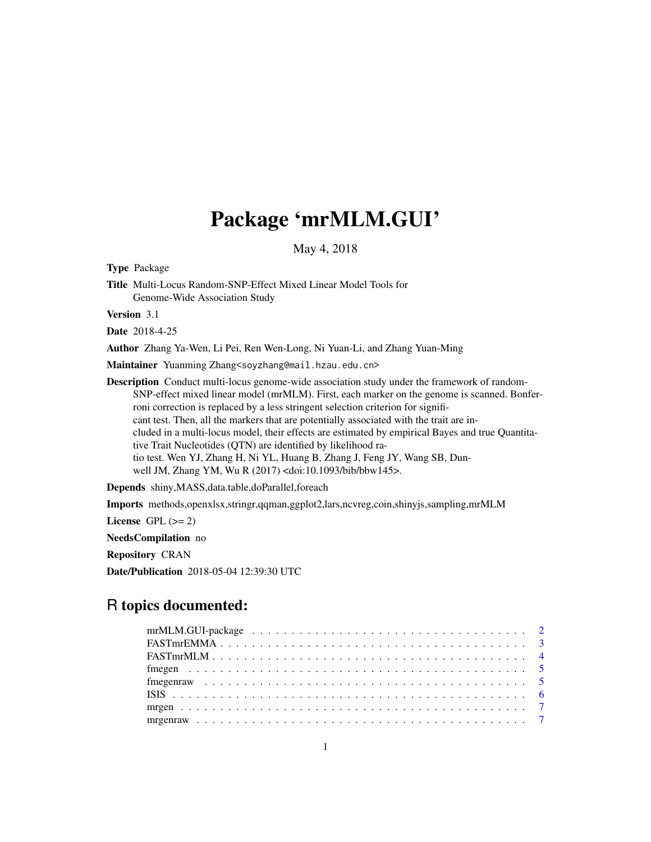# Package 'mrMLM.GUI'

May 4, 2018

Type Package

Title Multi-Locus Random-SNP-Effect Mixed Linear Model Tools for Genome-Wide Association Study

Version 3.1

Date 2018-4-25

Author Zhang Ya-Wen, Li Pei, Ren Wen-Long, Ni Yuan-Li, and Zhang Yuan-Ming

Maintainer Yuanming Zhang<soyzhang@mail.hzau.edu.cn>

Description Conduct multi-locus genome-wide association study under the framework of random-SNP-effect mixed linear model (mrMLM). First, each marker on the genome is scanned. Bonferroni correction is replaced by a less stringent selection criterion for significant test. Then, all the markers that are potentially associated with the trait are included in a multi-locus model, their effects are estimated by empirical Bayes and true Quantitative Trait Nucleotides (QTN) are identified by likelihood ratio test. Wen YJ, Zhang H, Ni YL, Huang B, Zhang J, Feng JY, Wang SB, Dunwell JM, Zhang YM, Wu R (2017) <doi:10.1093/bib/bbw145>.

Depends shiny,MASS,data.table,doParallel,foreach

Imports methods,openxlsx,stringr,qqman,ggplot2,lars,ncvreg,coin,shinyjs,sampling,mrMLM

License GPL  $(>= 2)$ 

NeedsCompilation no

Repository CRAN

Date/Publication 2018-05-04 12:39:30 UTC

# R topics documented: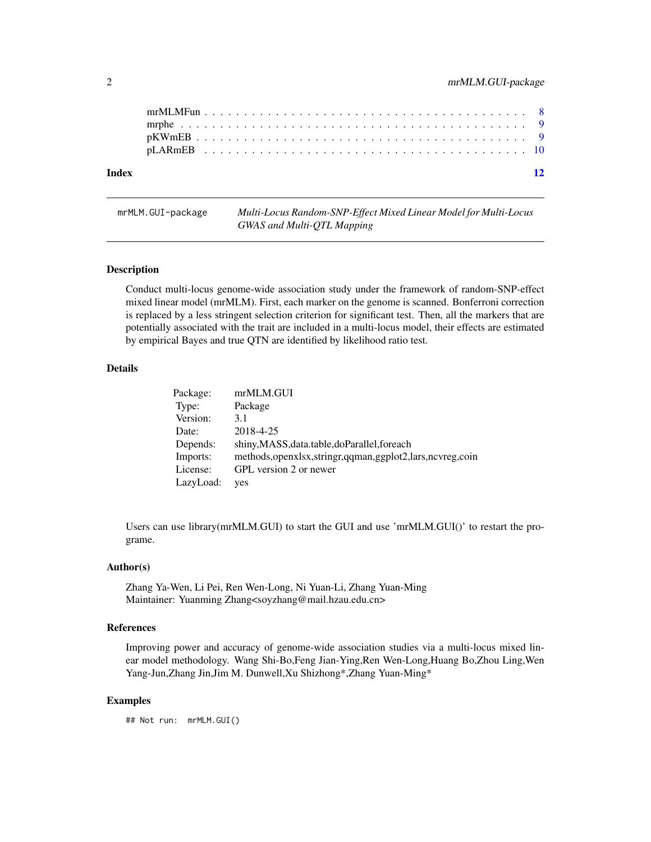<span id="page-1-0"></span>

| Index |  |  |  |  |  |  |  |  |  |  |  |  |  |  |  |  |  | $\overline{12}$ |
|-------|--|--|--|--|--|--|--|--|--|--|--|--|--|--|--|--|--|-----------------|
|       |  |  |  |  |  |  |  |  |  |  |  |  |  |  |  |  |  |                 |
|       |  |  |  |  |  |  |  |  |  |  |  |  |  |  |  |  |  |                 |
|       |  |  |  |  |  |  |  |  |  |  |  |  |  |  |  |  |  |                 |
|       |  |  |  |  |  |  |  |  |  |  |  |  |  |  |  |  |  |                 |

| mrMLM.GUI-package | Multi-Locus Random-SNP-Effect Mixed Linear Model for Multi-Locus |
|-------------------|------------------------------------------------------------------|
|                   | GWAS and Multi-QTL Mapping                                       |

Conduct multi-locus genome-wide association study under the framework of random-SNP-effect mixed linear model (mrMLM). First, each marker on the genome is scanned. Bonferroni correction is replaced by a less stringent selection criterion for significant test. Then, all the markers that are potentially associated with the trait are included in a multi-locus model, their effects are estimated by empirical Bayes and true QTN are identified by likelihood ratio test.

#### Details

| Package:  | mrMLM.GUI                                                      |
|-----------|----------------------------------------------------------------|
| Type:     | Package                                                        |
| Version:  | 3.1                                                            |
| Date:     | 2018-4-25                                                      |
| Depends:  | shiny, MASS, data.table, doParallel, foreach                   |
| Imports:  | methods, openxlsx, stringr, qqman, ggplot2, lars, ncvreg, coin |
| License:  | GPL version 2 or newer                                         |
| LazyLoad: | yes                                                            |

Users can use library(mrMLM.GUI) to start the GUI and use 'mrMLM.GUI()' to restart the programe.

#### Author(s)

Zhang Ya-Wen, Li Pei, Ren Wen-Long, Ni Yuan-Li, Zhang Yuan-Ming Maintainer: Yuanming Zhang<soyzhang@mail.hzau.edu.cn>

#### References

Improving power and accuracy of genome-wide association studies via a multi-locus mixed linear model methodology. Wang Shi-Bo,Feng Jian-Ying,Ren Wen-Long,Huang Bo,Zhou Ling,Wen Yang-Jun,Zhang Jin,Jim M. Dunwell,Xu Shizhong\*,Zhang Yuan-Ming\*

#### Examples

## Not run: mrMLM.GUI()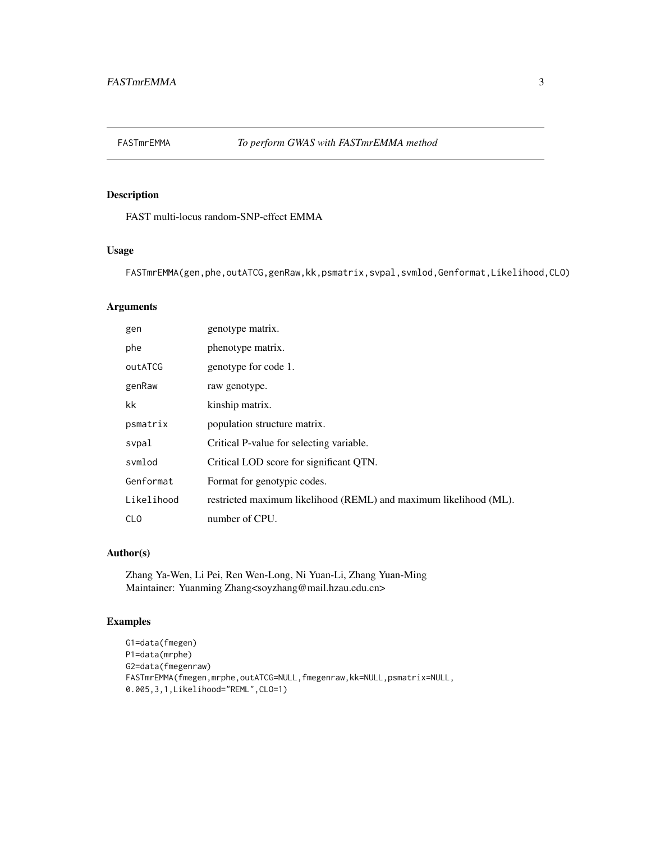<span id="page-2-0"></span>

FAST multi-locus random-SNP-effect EMMA

#### Usage

FASTmrEMMA(gen,phe,outATCG,genRaw,kk,psmatrix,svpal,svmlod,Genformat,Likelihood,CLO)

#### Arguments

| gen        | genotype matrix.                                                  |
|------------|-------------------------------------------------------------------|
| phe        | phenotype matrix.                                                 |
| outATCG    | genotype for code 1.                                              |
| genRaw     | raw genotype.                                                     |
| kk         | kinship matrix.                                                   |
| psmatrix   | population structure matrix.                                      |
| svpal      | Critical P-value for selecting variable.                          |
| svmlod     | Critical LOD score for significant QTN.                           |
| Genformat  | Format for genotypic codes.                                       |
| Likelihood | restricted maximum likelihood (REML) and maximum likelihood (ML). |
| <b>CLO</b> | number of CPU.                                                    |

#### Author(s)

Zhang Ya-Wen, Li Pei, Ren Wen-Long, Ni Yuan-Li, Zhang Yuan-Ming Maintainer: Yuanming Zhang<soyzhang@mail.hzau.edu.cn>

```
G1=data(fmegen)
P1=data(mrphe)
G2=data(fmegenraw)
FASTmrEMMA(fmegen,mrphe,outATCG=NULL,fmegenraw,kk=NULL,psmatrix=NULL,
0.005,3,1,Likelihood="REML",CLO=1)
```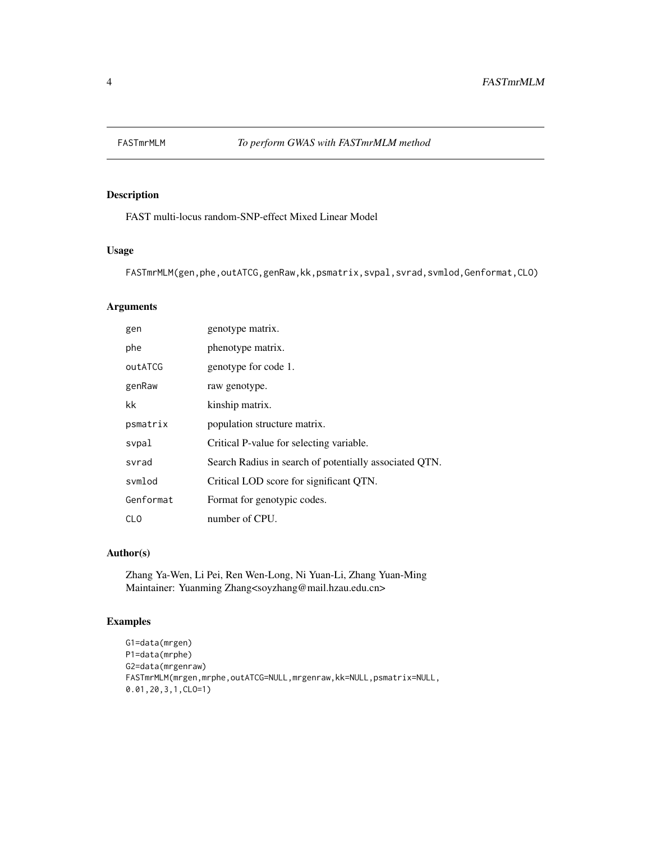<span id="page-3-0"></span>

FAST multi-locus random-SNP-effect Mixed Linear Model

#### Usage

FASTmrMLM(gen,phe,outATCG,genRaw,kk,psmatrix,svpal,svrad,svmlod,Genformat,CLO)

#### Arguments

| gen        | genotype matrix.                                       |
|------------|--------------------------------------------------------|
| phe        | phenotype matrix.                                      |
| outATCG    | genotype for code 1.                                   |
| genRaw     | raw genotype.                                          |
| kk         | kinship matrix.                                        |
| psmatrix   | population structure matrix.                           |
| svpal      | Critical P-value for selecting variable.               |
| svrad      | Search Radius in search of potentially associated QTN. |
| svmlod     | Critical LOD score for significant QTN.                |
| Genformat  | Format for genotypic codes.                            |
| <b>CLO</b> | number of CPU.                                         |

#### Author(s)

Zhang Ya-Wen, Li Pei, Ren Wen-Long, Ni Yuan-Li, Zhang Yuan-Ming Maintainer: Yuanming Zhang<soyzhang@mail.hzau.edu.cn>

```
G1=data(mrgen)
P1=data(mrphe)
G2=data(mrgenraw)
FASTmrMLM(mrgen,mrphe,outATCG=NULL,mrgenraw,kk=NULL,psmatrix=NULL,
0.01,20,3,1,CLO=1)
```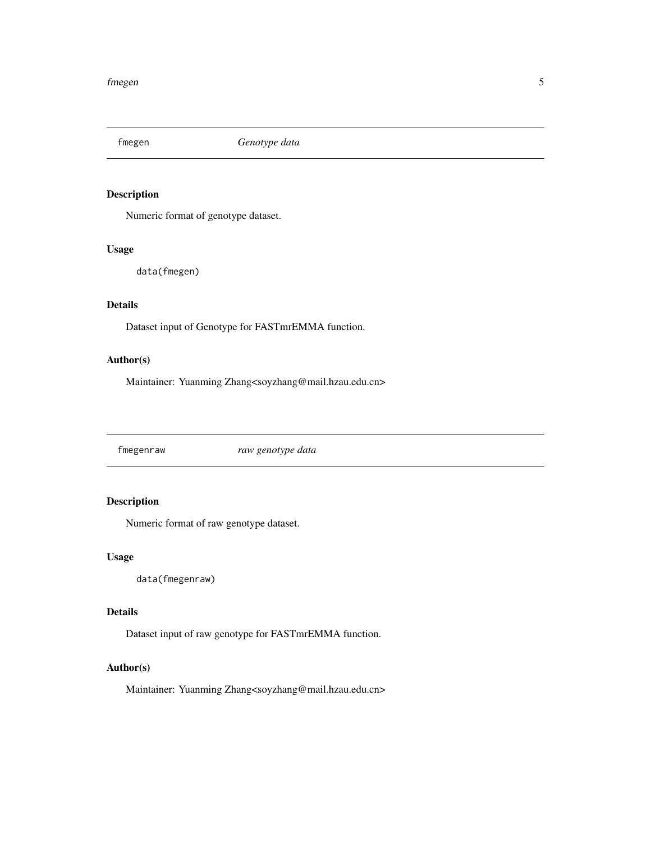<span id="page-4-0"></span>

Numeric format of genotype dataset.

#### Usage

data(fmegen)

# Details

Dataset input of Genotype for FASTmrEMMA function.

#### Author(s)

Maintainer: Yuanming Zhang<soyzhang@mail.hzau.edu.cn>

fmegenraw *raw genotype data*

# Description

Numeric format of raw genotype dataset.

#### Usage

```
data(fmegenraw)
```
#### Details

Dataset input of raw genotype for FASTmrEMMA function.

#### Author(s)

Maintainer: Yuanming Zhang<soyzhang@mail.hzau.edu.cn>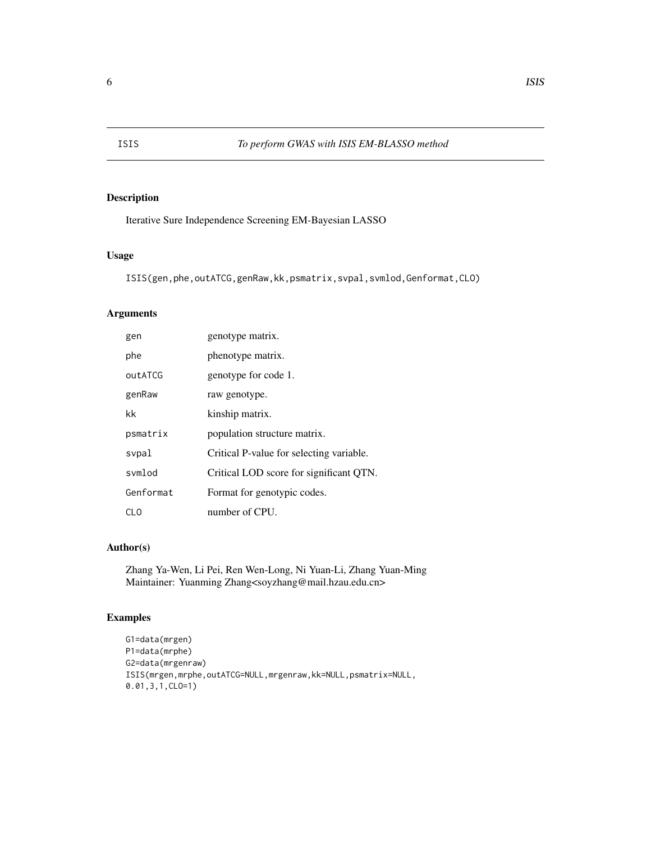<span id="page-5-0"></span>

Iterative Sure Independence Screening EM-Bayesian LASSO

#### Usage

ISIS(gen,phe,outATCG,genRaw,kk,psmatrix,svpal,svmlod,Genformat,CLO)

#### Arguments

| gen       | genotype matrix.                         |
|-----------|------------------------------------------|
| phe       | phenotype matrix.                        |
| outATCG   | genotype for code 1.                     |
| genRaw    | raw genotype.                            |
| kk        | kinship matrix.                          |
| psmatrix  | population structure matrix.             |
|           |                                          |
| svpal     | Critical P-value for selecting variable. |
| svmlod    | Critical LOD score for significant QTN.  |
| Genformat | Format for genotypic codes.              |

### Author(s)

Zhang Ya-Wen, Li Pei, Ren Wen-Long, Ni Yuan-Li, Zhang Yuan-Ming Maintainer: Yuanming Zhang<soyzhang@mail.hzau.edu.cn>

```
G1=data(mrgen)
P1=data(mrphe)
G2=data(mrgenraw)
ISIS(mrgen,mrphe,outATCG=NULL,mrgenraw,kk=NULL,psmatrix=NULL,
0.01,3,1,CLO=1)
```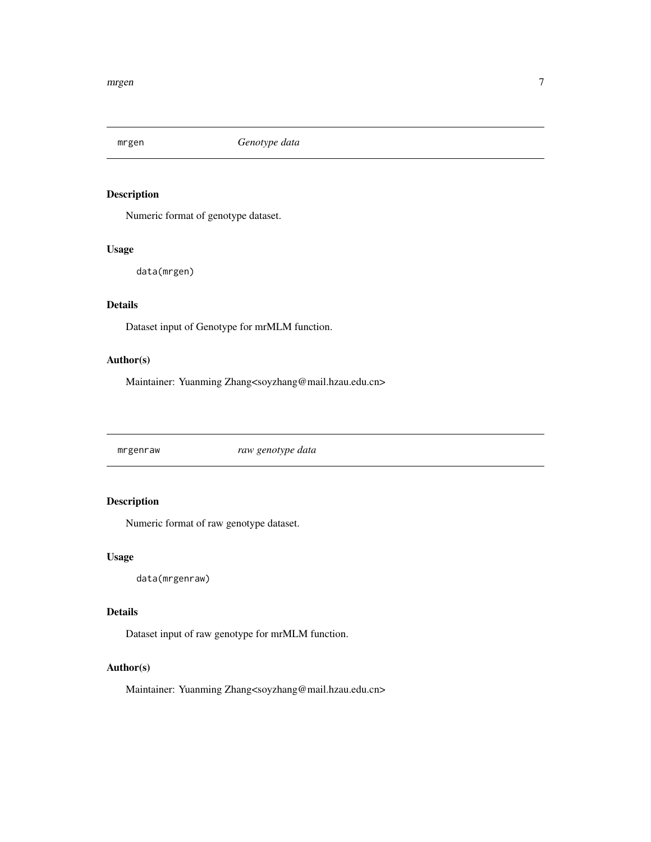<span id="page-6-0"></span>

Numeric format of genotype dataset.

#### Usage

data(mrgen)

# Details

Dataset input of Genotype for mrMLM function.

#### Author(s)

Maintainer: Yuanming Zhang<soyzhang@mail.hzau.edu.cn>

mrgenraw *raw genotype data*

# Description

Numeric format of raw genotype dataset.

#### Usage

```
data(mrgenraw)
```
#### Details

Dataset input of raw genotype for mrMLM function.

#### Author(s)

Maintainer: Yuanming Zhang<soyzhang@mail.hzau.edu.cn>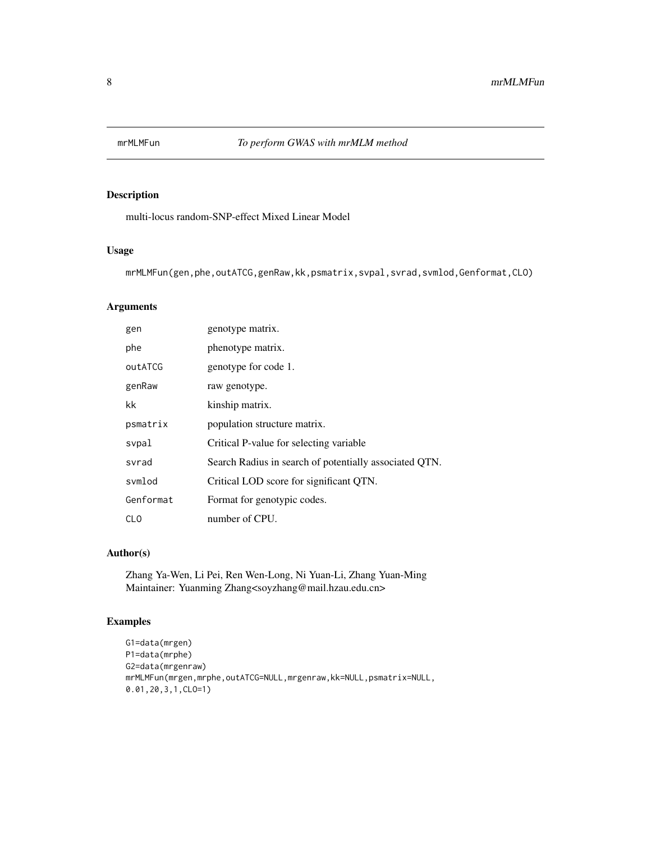<span id="page-7-0"></span>

multi-locus random-SNP-effect Mixed Linear Model

#### Usage

mrMLMFun(gen,phe,outATCG,genRaw,kk,psmatrix,svpal,svrad,svmlod,Genformat,CLO)

#### Arguments

| gen        | genotype matrix.                                       |
|------------|--------------------------------------------------------|
| phe        | phenotype matrix.                                      |
| outATCG    | genotype for code 1.                                   |
| genRaw     | raw genotype.                                          |
| kk         | kinship matrix.                                        |
| psmatrix   | population structure matrix.                           |
| svpal      | Critical P-value for selecting variable                |
| svrad      | Search Radius in search of potentially associated QTN. |
| svmlod     | Critical LOD score for significant QTN.                |
| Genformat  | Format for genotypic codes.                            |
| <b>CLO</b> | number of CPU.                                         |

#### Author(s)

Zhang Ya-Wen, Li Pei, Ren Wen-Long, Ni Yuan-Li, Zhang Yuan-Ming Maintainer: Yuanming Zhang<soyzhang@mail.hzau.edu.cn>

```
G1=data(mrgen)
P1=data(mrphe)
G2=data(mrgenraw)
mrMLMFun(mrgen,mrphe,outATCG=NULL,mrgenraw,kk=NULL,psmatrix=NULL,
0.01,20,3,1,CLO=1)
```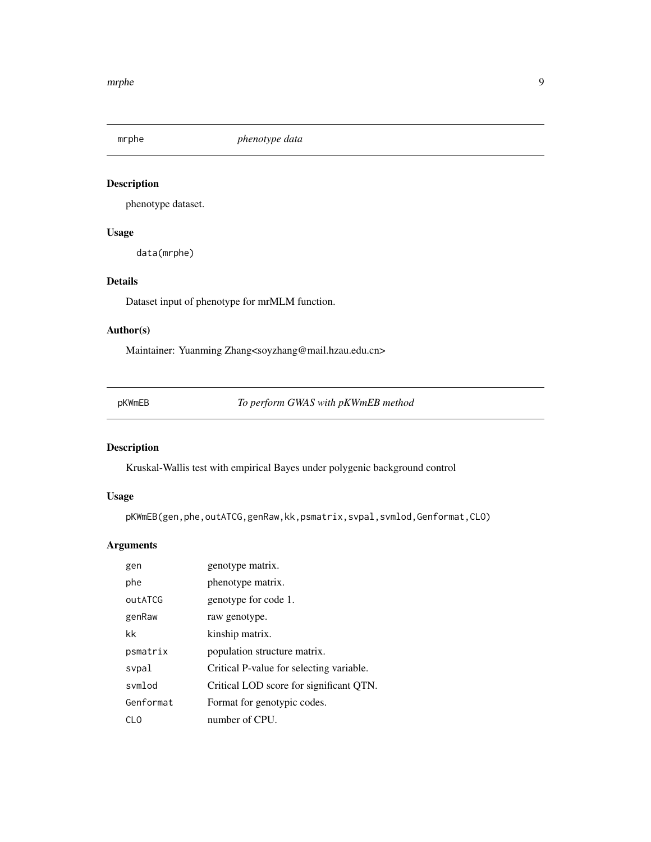<span id="page-8-0"></span>

phenotype dataset.

#### Usage

data(mrphe)

#### Details

Dataset input of phenotype for mrMLM function.

#### Author(s)

Maintainer: Yuanming Zhang<soyzhang@mail.hzau.edu.cn>

pKWmEB *To perform GWAS with pKWmEB method*

#### Description

Kruskal-Wallis test with empirical Bayes under polygenic background control

### Usage

pKWmEB(gen,phe,outATCG,genRaw,kk,psmatrix,svpal,svmlod,Genformat,CLO)

#### Arguments

| gen       | genotype matrix.                         |
|-----------|------------------------------------------|
| phe       | phenotype matrix.                        |
| outATCG   | genotype for code 1.                     |
| genRaw    | raw genotype.                            |
| kk        | kinship matrix.                          |
| psmatrix  | population structure matrix.             |
| svpal     | Critical P-value for selecting variable. |
| svmlod    | Critical LOD score for significant QTN.  |
| Genformat | Format for genotypic codes.              |
| CL O      | number of CPU.                           |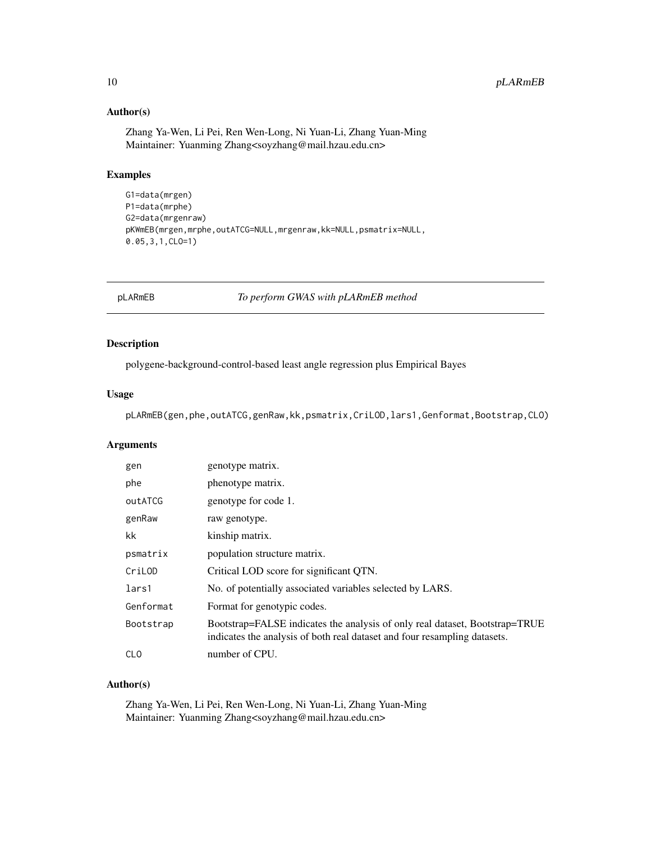#### Author(s)

Zhang Ya-Wen, Li Pei, Ren Wen-Long, Ni Yuan-Li, Zhang Yuan-Ming Maintainer: Yuanming Zhang<soyzhang@mail.hzau.edu.cn>

#### Examples

```
G1=data(mrgen)
P1=data(mrphe)
G2=data(mrgenraw)
pKWmEB(mrgen,mrphe,outATCG=NULL,mrgenraw,kk=NULL,psmatrix=NULL,
0.05,3,1,CLO=1)
```
pLARmEB *To perform GWAS with pLARmEB method*

#### Description

polygene-background-control-based least angle regression plus Empirical Bayes

#### Usage

pLARmEB(gen,phe,outATCG,genRaw,kk,psmatrix,CriLOD,lars1,Genformat,Bootstrap,CLO)

#### Arguments

| gen        | genotype matrix.                                                                                                                                         |
|------------|----------------------------------------------------------------------------------------------------------------------------------------------------------|
| phe        | phenotype matrix.                                                                                                                                        |
| outATCG    | genotype for code 1.                                                                                                                                     |
| genRaw     | raw genotype.                                                                                                                                            |
| kk         | kinship matrix.                                                                                                                                          |
| psmatrix   | population structure matrix.                                                                                                                             |
| CriLOD     | Critical LOD score for significant QTN.                                                                                                                  |
| lars1      | No. of potentially associated variables selected by LARS.                                                                                                |
| Genformat  | Format for genotypic codes.                                                                                                                              |
| Bootstrap  | Bootstrap=FALSE indicates the analysis of only real dataset, Bootstrap=TRUE<br>indicates the analysis of both real dataset and four resampling datasets. |
| <b>CLO</b> | number of CPU.                                                                                                                                           |

#### Author(s)

Zhang Ya-Wen, Li Pei, Ren Wen-Long, Ni Yuan-Li, Zhang Yuan-Ming Maintainer: Yuanming Zhang<soyzhang@mail.hzau.edu.cn>

<span id="page-9-0"></span>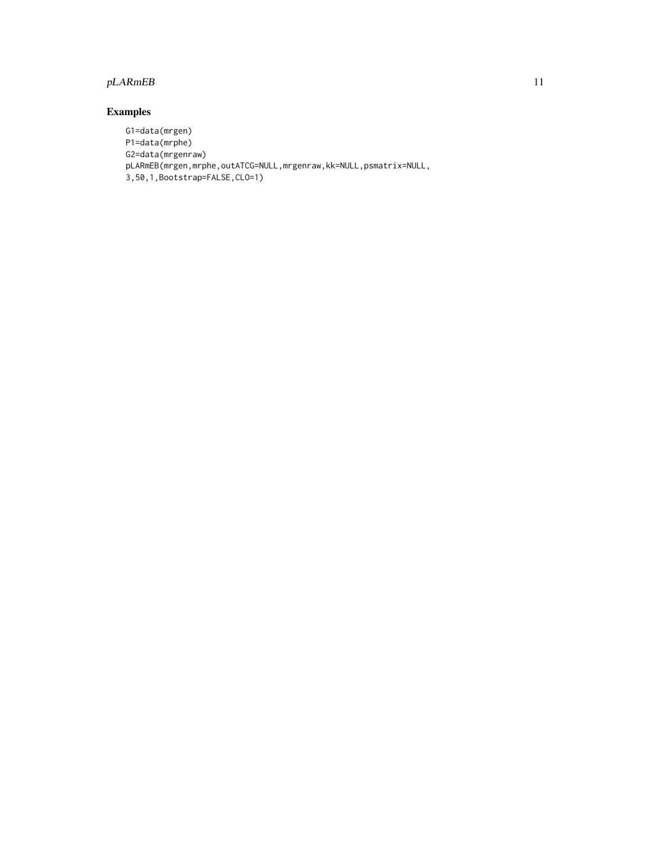# pLARmEB 11

# Examples

G1=data(mrgen) P1=data(mrphe) G2=data(mrgenraw) pLARmEB(mrgen,mrphe,outATCG=NULL,mrgenraw,kk=NULL,psmatrix=NULL, 3,50,1,Bootstrap=FALSE,CLO=1)